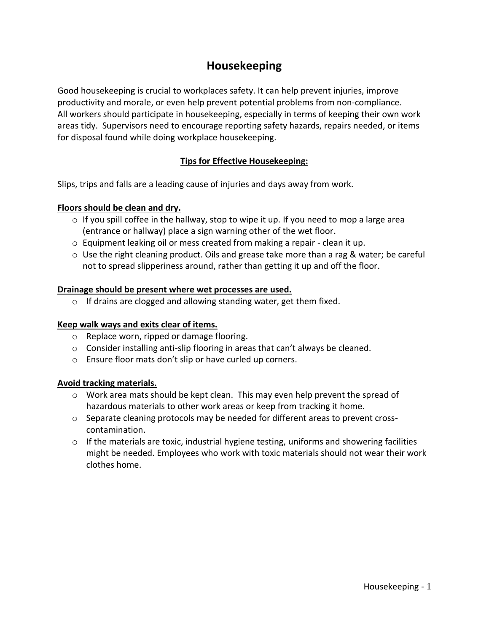# **Housekeeping**

Good housekeeping is crucial to workplaces safety. It can help prevent injuries, improve productivity and morale, or even help prevent potential problems from non-compliance. All workers should participate in housekeeping, especially in terms of keeping their own work areas tidy. Supervisors need to encourage reporting safety hazards, repairs needed, or items for disposal found while doing workplace housekeeping.

## **Tips for Effective Housekeeping:**

Slips, trips and falls are a leading cause of injuries and days away from work.

### **Floors should be clean and dry.**

- o If you spill coffee in the hallway, stop to wipe it up. If you need to mop a large area (entrance or hallway) place a sign warning other of the wet floor.
- o Equipment leaking oil or mess created from making a repair clean it up.
- $\circ$  Use the right cleaning product. Oils and grease take more than a rag & water; be careful not to spread slipperiness around, rather than getting it up and off the floor.

#### **Drainage should be present where wet processes are used.**

 $\circ$  If drains are clogged and allowing standing water, get them fixed.

#### **Keep walk ways and exits clear of items.**

- o Replace worn, ripped or damage flooring.
- $\circ$  Consider installing anti-slip flooring in areas that can't always be cleaned.
- o Ensure floor mats don't slip or have curled up corners.

#### **Avoid tracking materials.**

- o Work area mats should be kept clean. This may even help prevent the spread of hazardous materials to other work areas or keep from tracking it home.
- $\circ$  Separate cleaning protocols may be needed for different areas to prevent crosscontamination.
- $\circ$  If the materials are toxic, industrial hygiene testing, uniforms and showering facilities might be needed. Employees who work with toxic materials should not wear their work clothes home.